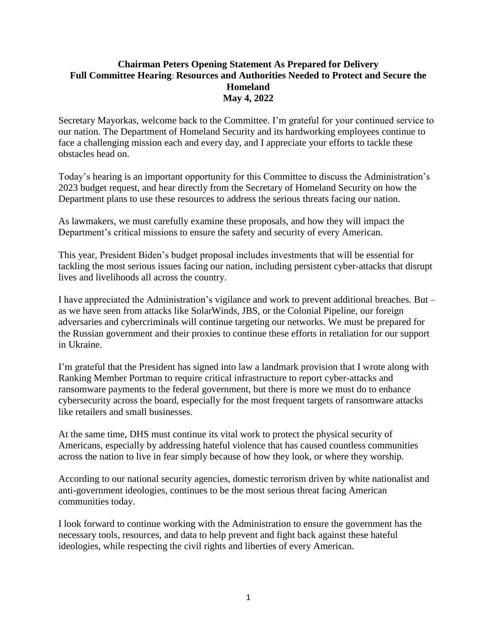## **Chairman Peters Opening Statement As Prepared for Delivery Full Committee Hearing**: **Resources and Authorities Needed to Protect and Secure the Homeland May 4, 2022**

Secretary Mayorkas, welcome back to the Committee. I'm grateful for your continued service to our nation. The Department of Homeland Security and its hardworking employees continue to face a challenging mission each and every day, and I appreciate your efforts to tackle these obstacles head on.

Today's hearing is an important opportunity for this Committee to discuss the Administration's 2023 budget request, and hear directly from the Secretary of Homeland Security on how the Department plans to use these resources to address the serious threats facing our nation.

As lawmakers, we must carefully examine these proposals, and how they will impact the Department's critical missions to ensure the safety and security of every American.

This year, President Biden's budget proposal includes investments that will be essential for tackling the most serious issues facing our nation, including persistent cyber-attacks that disrupt lives and livelihoods all across the country.

I have appreciated the Administration's vigilance and work to prevent additional breaches. But – as we have seen from attacks like SolarWinds, JBS, or the Colonial Pipeline, our foreign adversaries and cybercriminals will continue targeting our networks. We must be prepared for the Russian government and their proxies to continue these efforts in retaliation for our support in Ukraine.

I'm grateful that the President has signed into law a landmark provision that I wrote along with Ranking Member Portman to require critical infrastructure to report cyber-attacks and ransomware payments to the federal government, but there is more we must do to enhance cybersecurity across the board, especially for the most frequent targets of ransomware attacks like retailers and small businesses.

At the same time, DHS must continue its vital work to protect the physical security of Americans, especially by addressing hateful violence that has caused countless communities across the nation to live in fear simply because of how they look, or where they worship.

According to our national security agencies, domestic terrorism driven by white nationalist and anti-government ideologies, continues to be the most serious threat facing American communities today.

I look forward to continue working with the Administration to ensure the government has the necessary tools, resources, and data to help prevent and fight back against these hateful ideologies, while respecting the civil rights and liberties of every American.